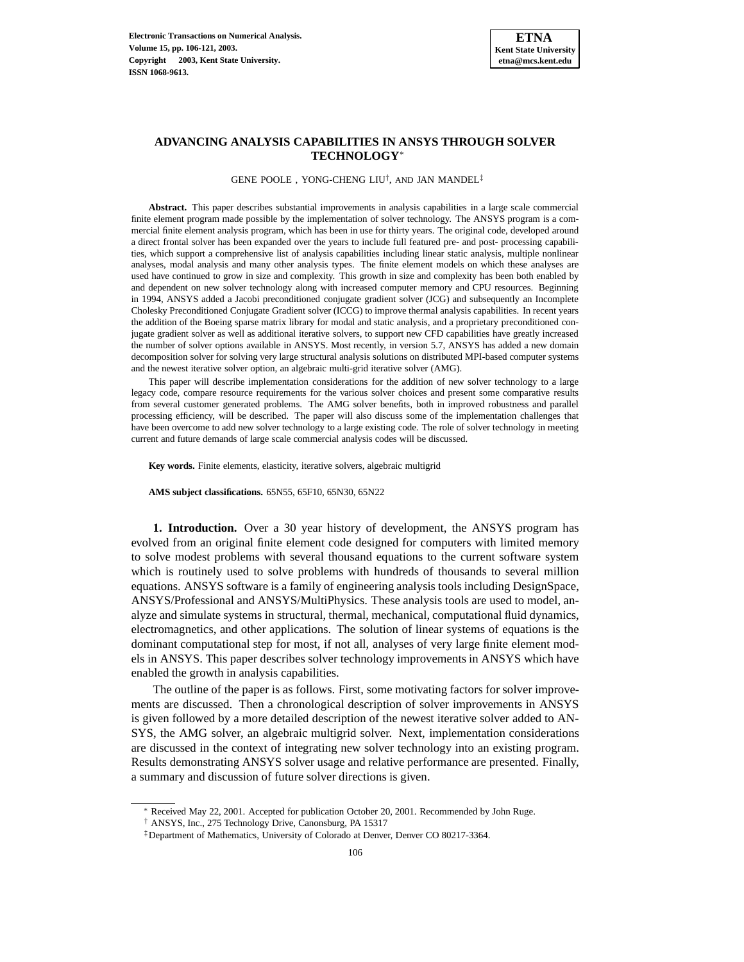# **ADVANCING ANALYSIS CAPABILITIES IN ANSYS THROUGH SOLVER TECHNOLOGY**<sup>∗</sup>

GENE POOLE , YONG-CHENG LIU<sup>†</sup>, AND JAN MANDEL<sup>‡</sup>

**Abstract.** This paper describes substantial improvements in analysis capabilities in a large scale commercial finite element program made possible by the implementation of solver technology. The ANSYS program is a commercial finite element analysis program, which has been in use for thirty years. The original code, developed around a direct frontal solver has been expanded over the years to include full featured pre- and post- processing capabilities, which support a comprehensive list of analysis capabilities including linear static analysis, multiple nonlinear analyses, modal analysis and many other analysis types. The finite element models on which these analyses are used have continued to grow in size and complexity. This growth in size and complexity has been both enabled by and dependent on new solver technology along with increased computer memory and CPU resources. Beginning in 1994, ANSYS added a Jacobi preconditioned conjugate gradient solver (JCG) and subsequently an Incomplete Cholesky Preconditioned Conjugate Gradient solver (ICCG) to improve thermal analysis capabilities. In recent years the addition of the Boeing sparse matrix library for modal and static analysis, and a proprietary preconditioned conjugate gradient solver as well as additional iterative solvers, to support new CFD capabilities have greatly increased the number of solver options available in ANSYS. Most recently, in version 5.7, ANSYS has added a new domain decomposition solver for solving very large structural analysis solutions on distributed MPI-based computer systems and the newest iterative solver option, an algebraic multi-grid iterative solver (AMG).

This paper will describe implementation considerations for the addition of new solver technology to a large legacy code, compare resource requirements for the various solver choices and present some comparative results from several customer generated problems. The AMG solver benefits, both in improved robustness and parallel processing efficiency, will be described. The paper will also discuss some of the implementation challenges that have been overcome to add new solver technology to a large existing code. The role of solver technology in meeting current and future demands of large scale commercial analysis codes will be discussed.

**Key words.** Finite elements, elasticity, iterative solvers, algebraic multigrid

**AMS subject classifications.** 65N55, 65F10, 65N30, 65N22

**1. Introduction.** Over a 30 year history of development, the ANSYS program has evolved from an original finite element code designed for computers with limited memory to solve modest problems with several thousand equations to the current software system which is routinely used to solve problems with hundreds of thousands to several million equations. ANSYS software is a family of engineering analysis tools including DesignSpace, ANSYS/Professional and ANSYS/MultiPhysics. These analysis tools are used to model, analyze and simulate systems in structural, thermal, mechanical, computational fluid dynamics, electromagnetics, and other applications. The solution of linear systems of equations is the dominant computational step for most, if not all, analyses of very large finite element models in ANSYS. This paper describes solver technology improvements in ANSYS which have enabled the growth in analysis capabilities.

The outline of the paper is as follows. First, some motivating factors for solver improvements are discussed. Then a chronological description of solver improvements in ANSYS is given followed by a more detailed description of the newest iterative solver added to AN-SYS, the AMG solver, an algebraic multigrid solver. Next, implementation considerations are discussed in the context of integrating new solver technology into an existing program. Results demonstrating ANSYS solver usage and relative performance are presented. Finally, a summary and discussion of future solver directions is given.

<sup>∗</sup> Received May 22, 2001. Accepted for publication October 20, 2001. Recommended by John Ruge.

<sup>†</sup> ANSYS, Inc., 275 Technology Drive, Canonsburg, PA 15317

<sup>‡</sup>Department of Mathematics, University of Colorado at Denver, Denver CO 80217-3364.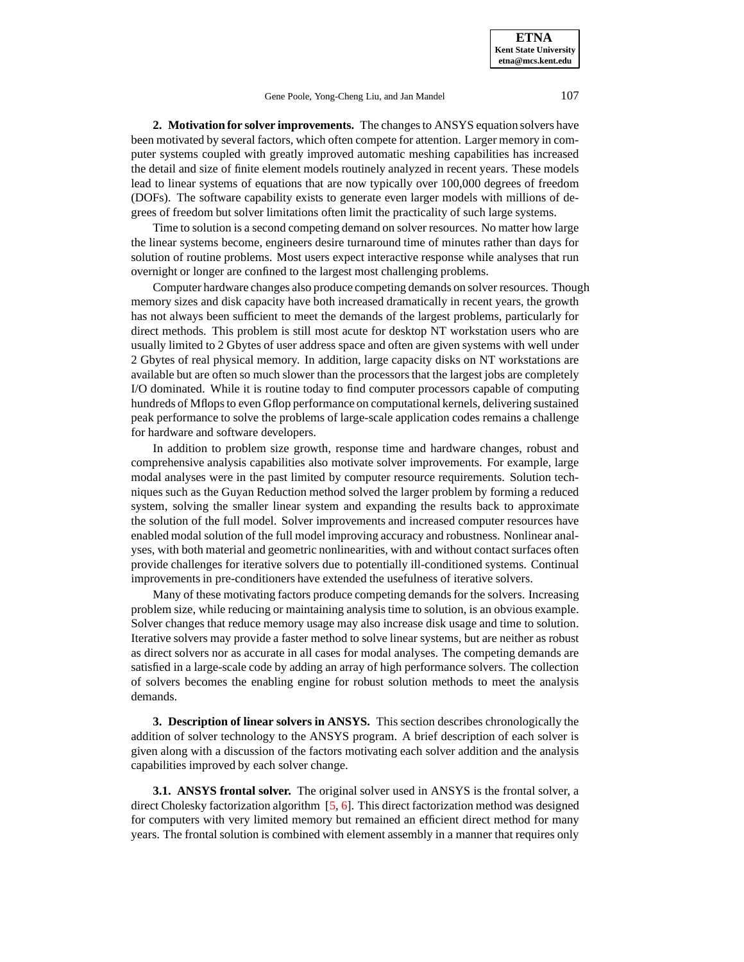**2. Motivation for solver improvements.** The changesto ANSYS equation solvers have been motivated by several factors, which often compete for attention. Larger memory in computer systems coupled with greatly improved automatic meshing capabilities has increased the detail and size of finite element models routinely analyzed in recent years. These models lead to linear systems of equations that are now typically over 100,000 degrees of freedom (DOFs). The software capability exists to generate even larger models with millions of degrees of freedom but solver limitations often limit the practicality of such large systems.

Time to solution is a second competing demand on solver resources. No matter how large the linear systems become, engineers desire turnaround time of minutes rather than days for solution of routine problems. Most users expect interactive response while analyses that run overnight or longer are confined to the largest most challenging problems.

Computer hardware changes also produce competing demands on solver resources. Though memory sizes and disk capacity have both increased dramatically in recent years, the growth has not always been sufficient to meet the demands of the largest problems, particularly for direct methods. This problem is still most acute for desktop NT workstation users who are usually limited to 2 Gbytes of user address space and often are given systems with well under 2 Gbytes of real physical memory. In addition, large capacity disks on NT workstations are available but are often so much slower than the processors that the largest jobs are completely I/O dominated. While it is routine today to find computer processors capable of computing hundreds of Mflops to even Gflop performance on computational kernels, delivering sustained peak performance to solve the problems of large-scale application codes remains a challenge for hardware and software developers.

In addition to problem size growth, response time and hardware changes, robust and comprehensive analysis capabilities also motivate solver improvements. For example, large modal analyses were in the past limited by computer resource requirements. Solution techniques such as the Guyan Reduction method solved the larger problem by forming a reduced system, solving the smaller linear system and expanding the results back to approximate the solution of the full model. Solver improvements and increased computer resources have enabled modal solution of the full model improving accuracy and robustness. Nonlinear analyses, with both material and geometric nonlinearities, with and without contact surfaces often provide challenges for iterative solvers due to potentially ill-conditioned systems. Continual improvements in pre-conditioners have extended the usefulness of iterative solvers.

Many of these motivating factors produce competing demandsfor the solvers. Increasing problem size, while reducing or maintaining analysis time to solution, is an obvious example. Solver changes that reduce memory usage may also increase disk usage and time to solution. Iterative solvers may provide a faster method to solve linear systems, but are neither as robust as direct solvers nor as accurate in all cases for modal analyses. The competing demands are satisfied in a large-scale code by adding an array of high performance solvers. The collection of solvers becomes the enabling engine for robust solution methods to meet the analysis demands.

**3. Description of linear solvers in ANSYS.** This section describes chronologically the addition of solver technology to the ANSYS program. A brief description of each solver is given along with a discussion of the factors motivating each solver addition and the analysis capabilities improved by each solver change.

**3.1. ANSYS frontal solver.** The original solver used in ANSYS is the frontal solver, a direct Cholesky factorization algorithm [\[5,](#page-11-0) [6\]](#page-11-1). This direct factorization method was designed for computers with very limited memory but remained an efficient direct method for many years. The frontal solution is combined with element assembly in a manner that requires only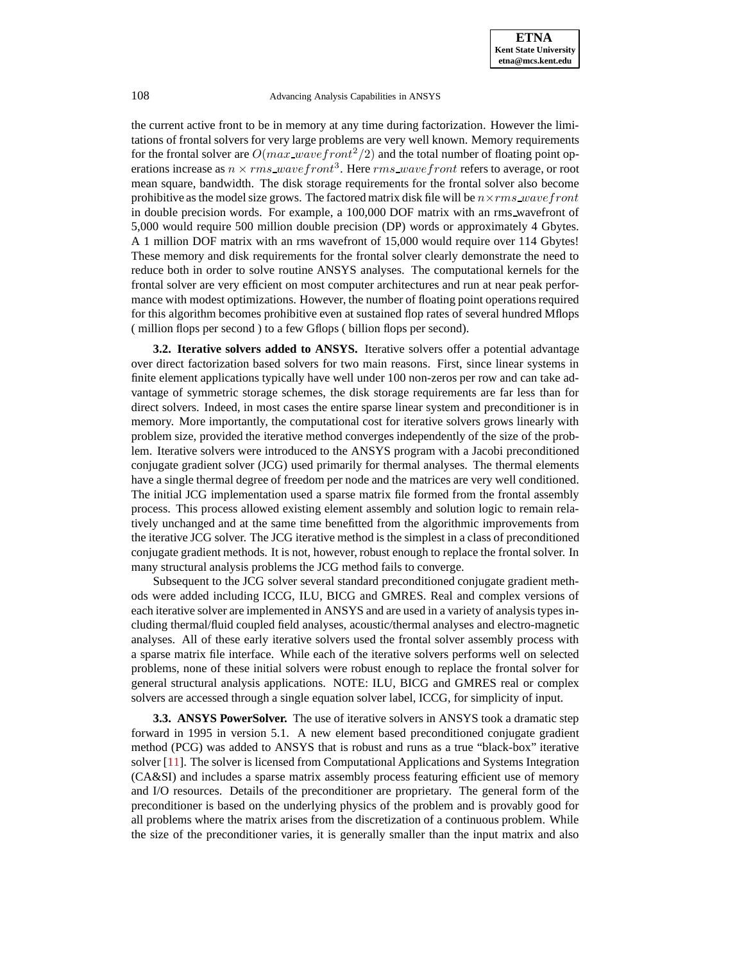the current active front to be in memory at any time during factorization. However the limitations of frontal solvers for very large problems are very well known. Memory requirements for the frontal solver are  $O(max\_wavefront^2/2)$  and the total number of floating point operations increase as  $n \times rms$  wave front<sup>3</sup>. Here  $rms$  wave front refers to average, or root mean square, bandwidth. The disk storage requirements for the frontal solver also become prohibitive as the model size grows. The factored matrix disk file will be  $n \times rms$  wave front in double precision words. For example, a 100,000 DOF matrix with an rms wavefront of 5,000 would require 500 million double precision (DP) words or approximately 4 Gbytes. A 1 million DOF matrix with an rms wavefront of 15,000 would require over 114 Gbytes! These memory and disk requirements for the frontal solver clearly demonstrate the need to reduce both in order to solve routine ANSYS analyses. The computational kernels for the frontal solver are very efficient on most computer architectures and run at near peak performance with modest optimizations. However, the number of floating point operations required for this algorithm becomes prohibitive even at sustained flop rates of several hundred Mflops ( million flops per second ) to a few Gflops ( billion flops per second).

**3.2. Iterative solvers added to ANSYS.** Iterative solvers offer a potential advantage over direct factorization based solvers for two main reasons. First, since linear systems in finite element applications typically have well under 100 non-zeros per row and can take advantage of symmetric storage schemes, the disk storage requirements are far less than for direct solvers. Indeed, in most cases the entire sparse linear system and preconditioner is in memory. More importantly, the computational cost for iterative solvers grows linearly with problem size, provided the iterative method converges independently of the size of the problem. Iterative solvers were introduced to the ANSYS program with a Jacobi preconditioned conjugate gradient solver (JCG) used primarily for thermal analyses. The thermal elements have a single thermal degree of freedom per node and the matrices are very well conditioned. The initial JCG implementation used a sparse matrix file formed from the frontal assembly process. This process allowed existing element assembly and solution logic to remain relatively unchanged and at the same time benefitted from the algorithmic improvements from the iterative JCG solver. The JCG iterative method is the simplest in a class of preconditioned conjugate gradient methods. It is not, however, robust enough to replace the frontal solver. In many structural analysis problems the JCG method fails to converge.

Subsequent to the JCG solver several standard preconditioned conjugate gradient methods were added including ICCG, ILU, BICG and GMRES. Real and complex versions of each iterative solver are implemented in ANSYS and are used in a variety of analysis types including thermal/fluid coupled field analyses, acoustic/thermal analyses and electro-magnetic analyses. All of these early iterative solvers used the frontal solver assembly process with a sparse matrix file interface. While each of the iterative solvers performs well on selected problems, none of these initial solvers were robust enough to replace the frontal solver for general structural analysis applications. NOTE: ILU, BICG and GMRES real or complex solvers are accessed through a single equation solver label, ICCG, for simplicity of input.

**3.3. ANSYS PowerSolver.** The use of iterative solvers in ANSYS took a dramatic step forward in 1995 in version 5.1. A new element based preconditioned conjugate gradient method (PCG) was added to ANSYS that is robust and runs as a true "black-box" iterative solver [\[11\]](#page-11-2). The solver is licensed from Computational Applications and Systems Integration (CA&SI) and includes a sparse matrix assembly process featuring efficient use of memory and I/O resources. Details of the preconditioner are proprietary. The general form of the preconditioner is based on the underlying physics of the problem and is provably good for all problems where the matrix arises from the discretization of a continuous problem. While the size of the preconditioner varies, it is generally smaller than the input matrix and also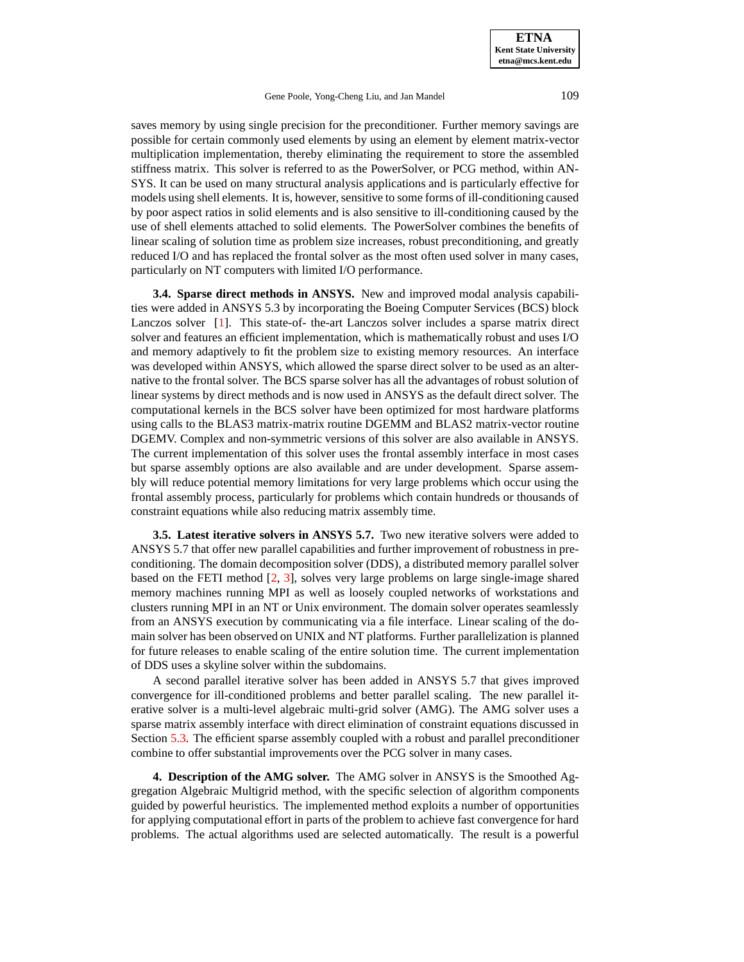saves memory by using single precision for the preconditioner. Further memory savings are possible for certain commonly used elements by using an element by element matrix-vector multiplication implementation, thereby eliminating the requirement to store the assembled stiffness matrix. This solver is referred to as the PowerSolver, or PCG method, within AN-SYS. It can be used on many structural analysis applications and is particularly effective for models using shell elements. It is, however, sensitive to some forms of ill-conditioning caused by poor aspect ratios in solid elements and is also sensitive to ill-conditioning caused by the use of shell elements attached to solid elements. The PowerSolver combines the benefits of linear scaling of solution time as problem size increases, robust preconditioning, and greatly reduced I/O and has replaced the frontal solver as the most often used solver in many cases, particularly on NT computers with limited I/O performance.

**3.4. Sparse direct methods in ANSYS.** New and improved modal analysis capabilities were added in ANSYS 5.3 by incorporating the Boeing Computer Services (BCS) block Lanczos solver [\[1\]](#page-10-0). This state-of- the-art Lanczos solver includes a sparse matrix direct solver and features an efficient implementation, which is mathematically robust and uses I/O and memory adaptively to fit the problem size to existing memory resources. An interface was developed within ANSYS, which allowed the sparse direct solver to be used as an alternative to the frontal solver. The BCS sparse solver has all the advantages of robust solution of linear systems by direct methods and is now used in ANSYS as the default direct solver. The computational kernels in the BCS solver have been optimized for most hardware platforms using calls to the BLAS3 matrix-matrix routine DGEMM and BLAS2 matrix-vector routine DGEMV. Complex and non-symmetric versions of this solver are also available in ANSYS. The current implementation of this solver uses the frontal assembly interface in most cases but sparse assembly options are also available and are under development. Sparse assembly will reduce potential memory limitations for very large problems which occur using the frontal assembly process, particularly for problems which contain hundreds or thousands of constraint equations while also reducing matrix assembly time.

**3.5. Latest iterative solvers in ANSYS 5.7.** Two new iterative solvers were added to ANSYS 5.7 that offer new parallel capabilities and further improvement of robustness in preconditioning. The domain decomposition solver (DDS), a distributed memory parallel solver based on the FETI method [\[2,](#page-10-1) [3\]](#page-10-2), solves very large problems on large single-image shared memory machines running MPI as well as loosely coupled networks of workstations and clusters running MPI in an NT or Unix environment. The domain solver operates seamlessly from an ANSYS execution by communicating via a file interface. Linear scaling of the domain solver has been observed on UNIX and NT platforms. Further parallelization is planned for future releases to enable scaling of the entire solution time. The current implementation of DDS uses a skyline solver within the subdomains.

A second parallel iterative solver has been added in ANSYS 5.7 that gives improved convergence for ill-conditioned problems and better parallel scaling. The new parallel iterative solver is a multi-level algebraic multi-grid solver (AMG). The AMG solver uses a sparse matrix assembly interface with direct elimination of constraint equations discussed in Section [5.3.](#page-7-0) The efficient sparse assembly coupled with a robust and parallel preconditioner combine to offer substantial improvements over the PCG solver in many cases.

**4. Description of the AMG solver.** The AMG solver in ANSYS is the Smoothed Aggregation Algebraic Multigrid method, with the specific selection of algorithm components guided by powerful heuristics. The implemented method exploits a number of opportunities for applying computational effort in parts of the problem to achieve fast convergence for hard problems. The actual algorithms used are selected automatically. The result is a powerful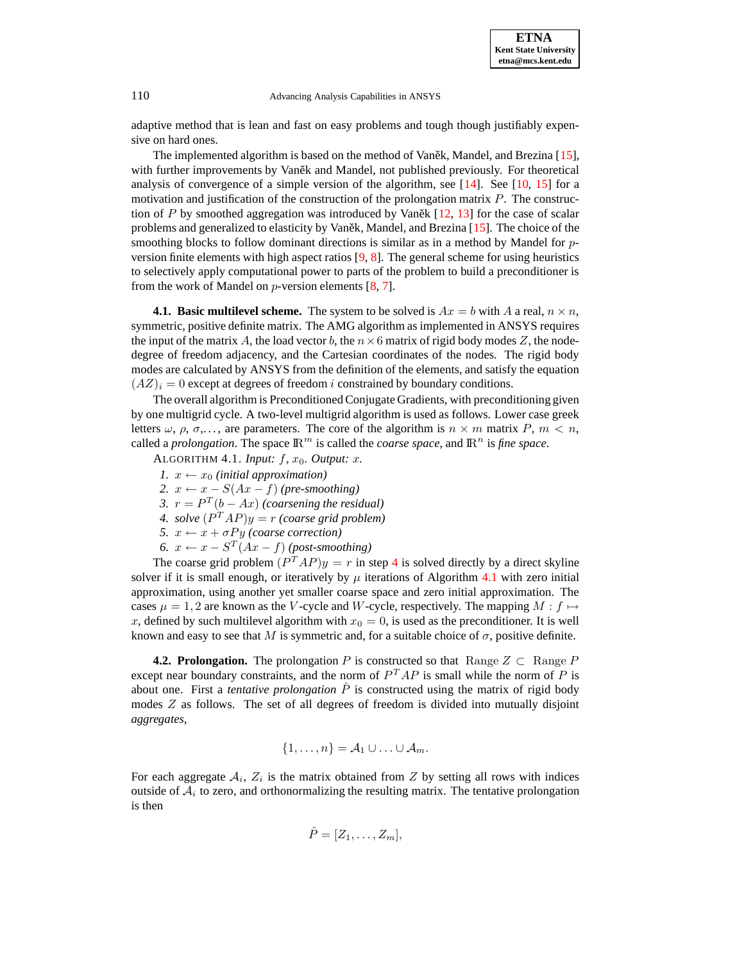adaptive method that is lean and fast on easy problems and tough though justifiably expensive on hard ones.

The implemented algorithm is based on the method of Vanetk, Mandel, and Brezina  $[15]$ , with further improvements by Vanet and Mandel, not published previously. For theoretical analysis of convergence of a simple version of the algorithm, see  $[14]$ . See  $[10, 15]$  $[10, 15]$  $[10, 15]$  for a motivation and justification of the construction of the prolongation matrix  $P$ . The construction of P by smoothed aggregation was introduced by Vaněk $[12, 13]$  $[12, 13]$  $[12, 13]$  for the case of scalar problems and generalized to elasticity by Vaněk, Mandel, and Brezina  $[15]$ . The choice of the smoothing blocks to follow dominant directions is similar as in a method by Mandel for  $p$ version finite elements with high aspect ratios  $[9, 8]$  $[9, 8]$  $[9, 8]$ . The general scheme for using heuristics to selectively apply computational power to parts of the problem to build a preconditioner is from the work of Mandel on  $p$ -version elements [\[8,](#page-11-9) [7\]](#page-11-10).

**4.1. Basic multilevel scheme.** The system to be solved is  $Ax = b$  with A a real,  $n \times n$ , symmetric, positive definite matrix. The AMG algorithm as implemented in ANSYS requires the input of the matrix A, the load vector b, the  $n \times 6$  matrix of rigid body modes Z, the nodedegree of freedom adjacency, and the Cartesian coordinates of the nodes. The rigid body modes are calculated by ANSYS from the definition of the elements, and satisfy the equation  $(AZ)_i = 0$  except at degrees of freedom i constrained by boundary conditions.

<span id="page-4-1"></span>The overall algorithm is PreconditionedConjugate Gradients, with preconditioning given by one multigrid cycle. A two-level multigrid algorithm is used as follows. Lower case greek letters  $\omega$ ,  $\rho$ ,  $\sigma$ ,..., are parameters. The core of the algorithm is  $n \times m$  matrix P,  $m \lt n$ , called a *prolongation*. The space  $\mathbb{R}^m$  is called the *coarse space*, and  $\mathbb{R}^n$  is *fine space*.

- <span id="page-4-2"></span>ALGORITHM 4.1. *Input:*  $f$ ,  $x_0$ . *Output:*  $x$ .
- *1.*  $x \leftarrow x_0$  *(initial approximation)*
- 2.  $x \leftarrow x S(Ax f)$  *(pre-smoothing)*
- 3.  $r = P^T(b Ax)$  *(coarsening the residual)*
- *4. solve*  $(P^TAP)y = r$  *(coarse grid problem)*
- *5.*  $x \leftarrow x + \sigma Py$  *(coarse correction)*
- *6.*  $x \leftarrow x S^T(Ax f)$  *(post-smoothing)*

<span id="page-4-3"></span><span id="page-4-0"></span>The coarse grid problem  $(P^TAP)y = r$  in step [4](#page-4-0) is solved directly by a direct skyline solver if it is small enough, or iteratively by  $\mu$  iterations of Algorithm [4.1](#page-4-1) with zero initial approximation, using another yet smaller coarse space and zero initial approximation. The cases  $\mu = 1, 2$  are known as the V-cycle and W-cycle, respectively. The mapping  $M : f \mapsto$ x, defined by such multilevel algorithm with  $x_0 = 0$ , is used as the preconditioner. It is well known and easy to see that M is symmetric and, for a suitable choice of  $\sigma$ , positive definite.

**4.2. Prolongation.** The prolongation P is constructed so that Range  $Z \subset \text{Range } P$ except near boundary constraints, and the norm of  $P^{T}AP$  is small while the norm of P is about one. First a *tentative prolongation*  $\hat{P}$  is constructed using the matrix of rigid body modes  $Z$  as follows. The set of all degrees of freedom is divided into mutually disjoint *aggregates*,

$$
\{1,\ldots,n\}=\mathcal{A}_1\cup\ldots\cup\mathcal{A}_m.
$$

For each aggregate  $A_i$ ,  $Z_i$  is the matrix obtained from Z by setting all rows with indices outside of  $A_i$  to zero, and orthonormalizing the resulting matrix. The tentative prolongation is then

$$
\hat{P} = [Z_1, \ldots, Z_m],
$$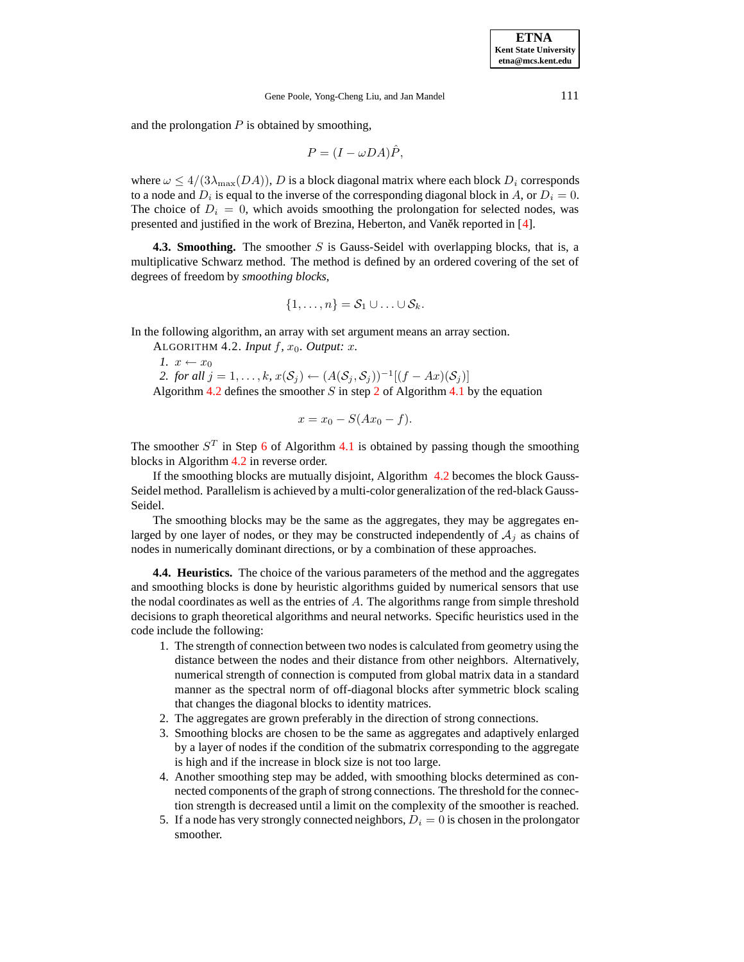and the prolongation  $P$  is obtained by smoothing,

$$
P = (I - \omega DA)\hat{P},
$$

where  $\omega \leq 4/(3\lambda_{\text{max}}(DA))$ , D is a block diagonal matrix where each block  $D_i$  corresponds to a node and  $D_i$  is equal to the inverse of the corresponding diagonal block in A, or  $D_i = 0$ . The choice of  $D_i = 0$ , which avoids smoothing the prolongation for selected nodes, was presented and justified in the work of Brezina, Heberton, and Vanek reported in [\[4\]](#page-11-11).

**4.3. Smoothing.** The smoother S is Gauss-Seidel with overlapping blocks, that is, a multiplicative Schwarz method. The method is defined by an ordered covering of the set of degrees of freedom by *smoothing blocks*,

<span id="page-5-0"></span>
$$
\{1,\ldots,n\}=\mathcal{S}_1\cup\ldots\cup\mathcal{S}_k.
$$

In the following algorithm, an array with set argument means an array section.

ALGORITHM 4.2. *Input*  $f$ ,  $x_0$ . *Output: x.* 

*1.*  $x \leftarrow x_0$ 2. *for all*  $j = 1, ..., k$ ,  $x(S_j) \leftarrow (A(S_j, S_j))^{-1}[(f - Ax)(S_j)]$ Algorithm [4.2](#page-5-0) defines the smoother S in step [2](#page-4-2) of Algorithm [4.1](#page-4-1) by the equation

$$
x = x_0 - S(Ax_0 - f).
$$

The smoother  $S<sup>T</sup>$  in Step [6](#page-4-3) of Algorithm [4.1](#page-4-1) is obtained by passing though the smoothing blocks in Algorithm [4.2](#page-5-0) in reverse order.

If the smoothing blocks are mutually disjoint, Algorithm [4.2](#page-5-0) becomes the block Gauss-Seidel method. Parallelism is achieved by a multi-color generalization of the red-black Gauss-Seidel.

The smoothing blocks may be the same as the aggregates, they may be aggregates enlarged by one layer of nodes, or they may be constructed independently of  $A_i$  as chains of nodes in numerically dominant directions, or by a combination of these approaches.

**4.4. Heuristics.** The choice of the various parameters of the method and the aggregates and smoothing blocks is done by heuristic algorithms guided by numerical sensors that use the nodal coordinates as well as the entries of  $A$ . The algorithms range from simple threshold decisions to graph theoretical algorithms and neural networks. Specific heuristics used in the code include the following:

- 1. The strength of connection between two nodesis calculated from geometry using the distance between the nodes and their distance from other neighbors. Alternatively, numerical strength of connection is computed from global matrix data in a standard manner as the spectral norm of off-diagonal blocks after symmetric block scaling that changes the diagonal blocks to identity matrices.
- 2. The aggregates are grown preferably in the direction of strong connections.
- 3. Smoothing blocks are chosen to be the same as aggregates and adaptively enlarged by a layer of nodes if the condition of the submatrix corresponding to the aggregate is high and if the increase in block size is not too large.
- 4. Another smoothing step may be added, with smoothing blocks determined as connected components of the graph of strong connections. The threshold for the connection strength is decreased until a limit on the complexity of the smoother is reached.
- 5. If a node has very strongly connected neighbors,  $D_i = 0$  is chosen in the prolongator smoother.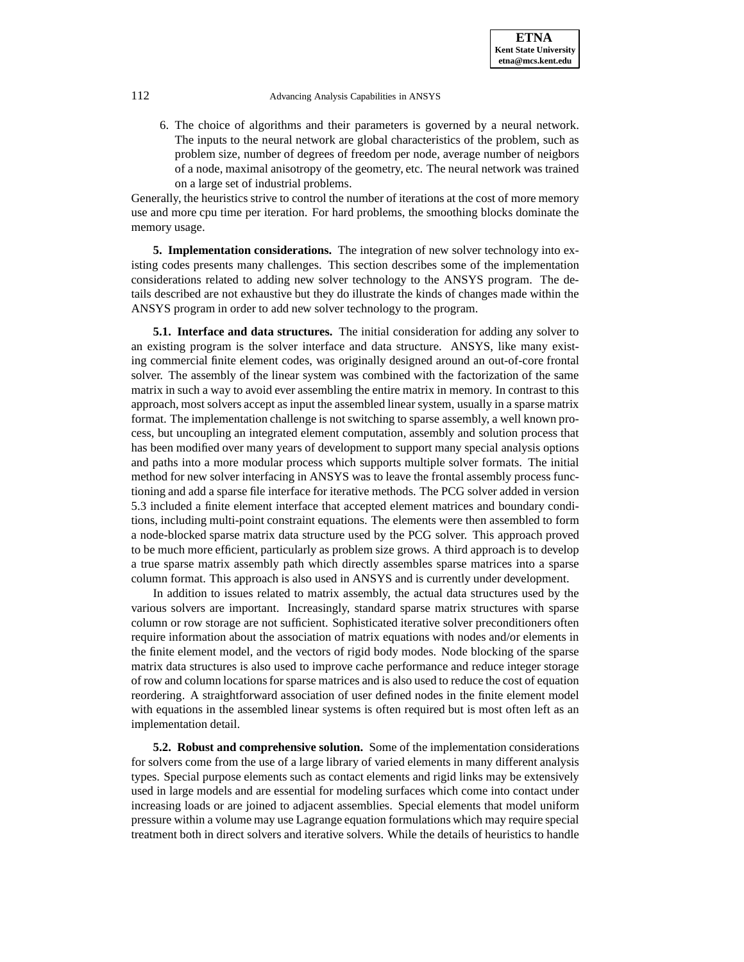6. The choice of algorithms and their parameters is governed by a neural network. The inputs to the neural network are global characteristics of the problem, such as problem size, number of degrees of freedom per node, average number of neigbors of a node, maximal anisotropy of the geometry, etc. The neural network was trained on a large set of industrial problems.

Generally, the heuristics strive to control the number of iterations at the cost of more memory use and more cpu time per iteration. For hard problems, the smoothing blocks dominate the memory usage.

**5. Implementation considerations.** The integration of new solver technology into existing codes presents many challenges. This section describes some of the implementation considerations related to adding new solver technology to the ANSYS program. The details described are not exhaustive but they do illustrate the kinds of changes made within the ANSYS program in order to add new solver technology to the program.

**5.1. Interface and data structures.** The initial consideration for adding any solver to an existing program is the solver interface and data structure. ANSYS, like many existing commercial finite element codes, was originally designed around an out-of-core frontal solver. The assembly of the linear system was combined with the factorization of the same matrix in such a way to avoid ever assembling the entire matrix in memory. In contrast to this approach, most solvers accept as input the assembled linear system, usually in a sparse matrix format. The implementation challenge is not switching to sparse assembly, a well known process, but uncoupling an integrated element computation, assembly and solution process that has been modified over many years of development to support many special analysis options and paths into a more modular process which supports multiple solver formats. The initial method for new solver interfacing in ANSYS was to leave the frontal assembly process functioning and add a sparse file interface for iterative methods. The PCG solver added in version 5.3 included a finite element interface that accepted element matrices and boundary conditions, including multi-point constraint equations. The elements were then assembled to form a node-blocked sparse matrix data structure used by the PCG solver. This approach proved to be much more efficient, particularly as problem size grows. A third approach is to develop a true sparse matrix assembly path which directly assembles sparse matrices into a sparse column format. This approach is also used in ANSYS and is currently under development.

In addition to issues related to matrix assembly, the actual data structures used by the various solvers are important. Increasingly, standard sparse matrix structures with sparse column or row storage are not sufficient. Sophisticated iterative solver preconditioners often require information about the association of matrix equations with nodes and/or elements in the finite element model, and the vectors of rigid body modes. Node blocking of the sparse matrix data structures is also used to improve cache performance and reduce integer storage of row and column locationsfor sparse matrices and is also used to reduce the cost of equation reordering. A straightforward association of user defined nodes in the finite element model with equations in the assembled linear systems is often required but is most often left as an implementation detail.

**5.2. Robust and comprehensive solution.** Some of the implementation considerations for solvers come from the use of a large library of varied elements in many different analysis types. Special purpose elements such as contact elements and rigid links may be extensively used in large models and are essential for modeling surfaces which come into contact under increasing loads or are joined to adjacent assemblies. Special elements that model uniform pressure within a volume may use Lagrange equation formulations which may require special treatment both in direct solvers and iterative solvers. While the details of heuristics to handle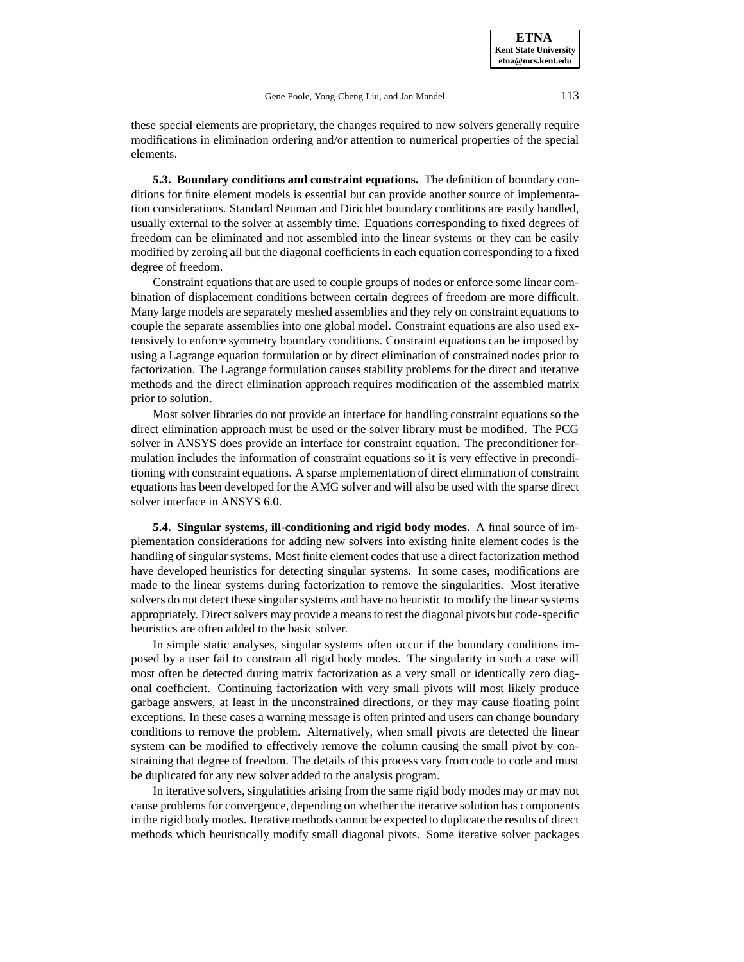these special elements are proprietary, the changes required to new solvers generally require modifications in elimination ordering and/or attention to numerical properties of the special elements.

<span id="page-7-0"></span>**5.3. Boundary conditions and constraint equations.** The definition of boundary conditions for finite element models is essential but can provide another source of implementation considerations. Standard Neuman and Dirichlet boundary conditions are easily handled, usually external to the solver at assembly time. Equations corresponding to fixed degrees of freedom can be eliminated and not assembled into the linear systems or they can be easily modified by zeroing all but the diagonal coefficients in each equation corresponding to a fixed degree of freedom.

Constraint equations that are used to couple groups of nodes or enforce some linear combination of displacement conditions between certain degrees of freedom are more difficult. Many large models are separately meshed assemblies and they rely on constraint equations to couple the separate assemblies into one global model. Constraint equations are also used extensively to enforce symmetry boundary conditions. Constraint equations can be imposed by using a Lagrange equation formulation or by direct elimination of constrained nodes prior to factorization. The Lagrange formulation causes stability problems for the direct and iterative methods and the direct elimination approach requires modification of the assembled matrix prior to solution.

Most solver libraries do not provide an interface for handling constraint equations so the direct elimination approach must be used or the solver library must be modified. The PCG solver in ANSYS does provide an interface for constraint equation. The preconditioner formulation includes the information of constraint equations so it is very effective in preconditioning with constraint equations. A sparse implementation of direct elimination of constraint equations has been developed for the AMG solver and will also be used with the sparse direct solver interface in ANSYS 6.0.

**5.4. Singular systems, ill-conditioning and rigid body modes.** A final source of implementation considerations for adding new solvers into existing finite element codes is the handling of singular systems. Most finite element codes that use a direct factorization method have developed heuristics for detecting singular systems. In some cases, modifications are made to the linear systems during factorization to remove the singularities. Most iterative solvers do not detect these singular systems and have no heuristic to modify the linear systems appropriately. Direct solvers may provide a means to test the diagonal pivots but code-specific heuristics are often added to the basic solver.

In simple static analyses, singular systems often occur if the boundary conditions imposed by a user fail to constrain all rigid body modes. The singularity in such a case will most often be detected during matrix factorization as a very small or identically zero diagonal coefficient. Continuing factorization with very small pivots will most likely produce garbage answers, at least in the unconstrained directions, or they may cause floating point exceptions. In these cases a warning message is often printed and users can change boundary conditions to remove the problem. Alternatively, when small pivots are detected the linear system can be modified to effectively remove the column causing the small pivot by constraining that degree of freedom. The details of this process vary from code to code and must be duplicated for any new solver added to the analysis program.

In iterative solvers, singulatities arising from the same rigid body modes may or may not cause problems for convergence, depending on whether the iterative solution has components in the rigid body modes. Iterative methods cannot be expected to duplicate the results of direct methods which heuristically modify small diagonal pivots. Some iterative solver packages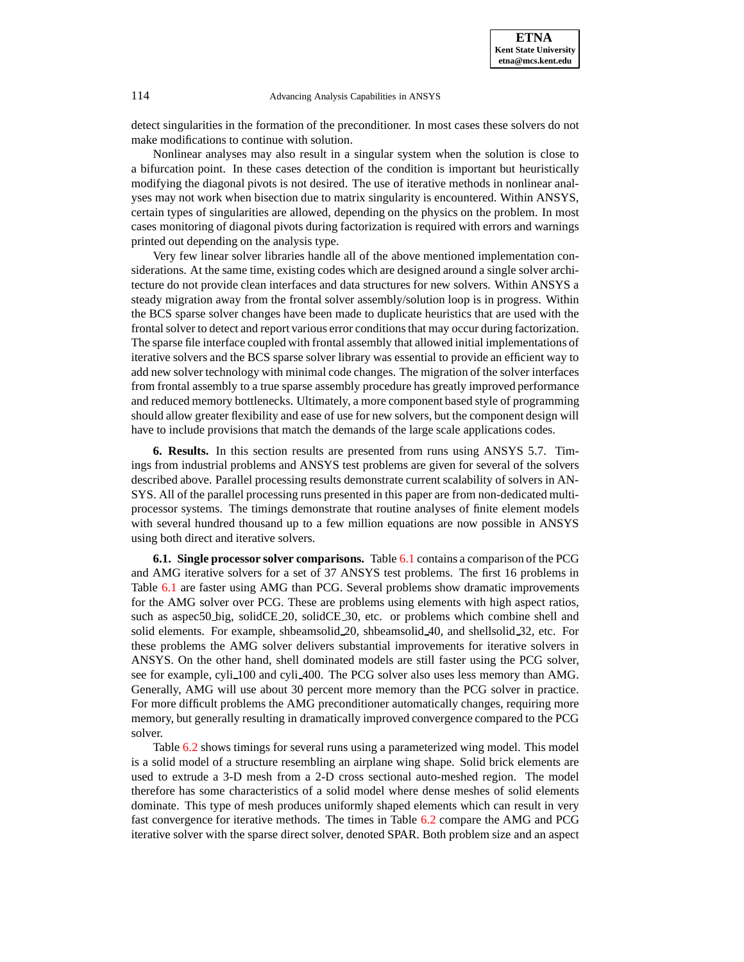detect singularities in the formation of the preconditioner. In most cases these solvers do not make modifications to continue with solution.

Nonlinear analyses may also result in a singular system when the solution is close to a bifurcation point. In these cases detection of the condition is important but heuristically modifying the diagonal pivots is not desired. The use of iterative methods in nonlinear analyses may not work when bisection due to matrix singularity is encountered. Within ANSYS, certain types of singularities are allowed, depending on the physics on the problem. In most cases monitoring of diagonal pivots during factorization is required with errors and warnings printed out depending on the analysis type.

Very few linear solver libraries handle all of the above mentioned implementation considerations. At the same time, existing codes which are designed around a single solver architecture do not provide clean interfaces and data structures for new solvers. Within ANSYS a steady migration away from the frontal solver assembly/solution loop is in progress. Within the BCS sparse solver changes have been made to duplicate heuristics that are used with the frontal solver to detect and report various error conditions that may occur during factorization. The sparse file interface coupled with frontal assembly that allowed initial implementations of iterative solvers and the BCS sparse solver library was essential to provide an efficient way to add new solver technology with minimal code changes. The migration of the solver interfaces from frontal assembly to a true sparse assembly procedure has greatly improved performance and reduced memory bottlenecks. Ultimately, a more component based style of programming should allow greater flexibility and ease of use for new solvers, but the component design will have to include provisions that match the demands of the large scale applications codes.

**6. Results.** In this section results are presented from runs using ANSYS 5.7. Timings from industrial problems and ANSYS test problems are given for several of the solvers described above. Parallel processing results demonstrate current scalability of solvers in AN-SYS. All of the parallel processing runs presented in this paper are from non-dedicated multiprocessor systems. The timings demonstrate that routine analyses of finite element models with several hundred thousand up to a few million equations are now possible in ANSYS using both direct and iterative solvers.

**6.1. Single processor solver comparisons.** Table [6.1](#page-12-0) contains a comparison of the PCG and AMG iterative solvers for a set of 37 ANSYS test problems. The first 16 problems in Table [6.1](#page-12-0) are faster using AMG than PCG. Several problems show dramatic improvements for the AMG solver over PCG. These are problems using elements with high aspect ratios, such as aspec50 big, solidCE 20, solidCE 30, etc. or problems which combine shell and solid elements. For example, shbeamsolid 20, shbeamsolid 40, and shellsolid 32, etc. For these problems the AMG solver delivers substantial improvements for iterative solvers in ANSYS. On the other hand, shell dominated models are still faster using the PCG solver, see for example, cyli 100 and cyli 400. The PCG solver also uses less memory than AMG. Generally, AMG will use about 30 percent more memory than the PCG solver in practice. For more difficult problems the AMG preconditioner automatically changes, requiring more memory, but generally resulting in dramatically improved convergence compared to the PCG solver.

Table [6.2](#page-13-0) shows timings for several runs using a parameterized wing model. This model is a solid model of a structure resembling an airplane wing shape. Solid brick elements are used to extrude a 3-D mesh from a 2-D cross sectional auto-meshed region. The model therefore has some characteristics of a solid model where dense meshes of solid elements dominate. This type of mesh produces uniformly shaped elements which can result in very fast convergence for iterative methods. The times in Table [6.2](#page-13-0) compare the AMG and PCG iterative solver with the sparse direct solver, denoted SPAR. Both problem size and an aspect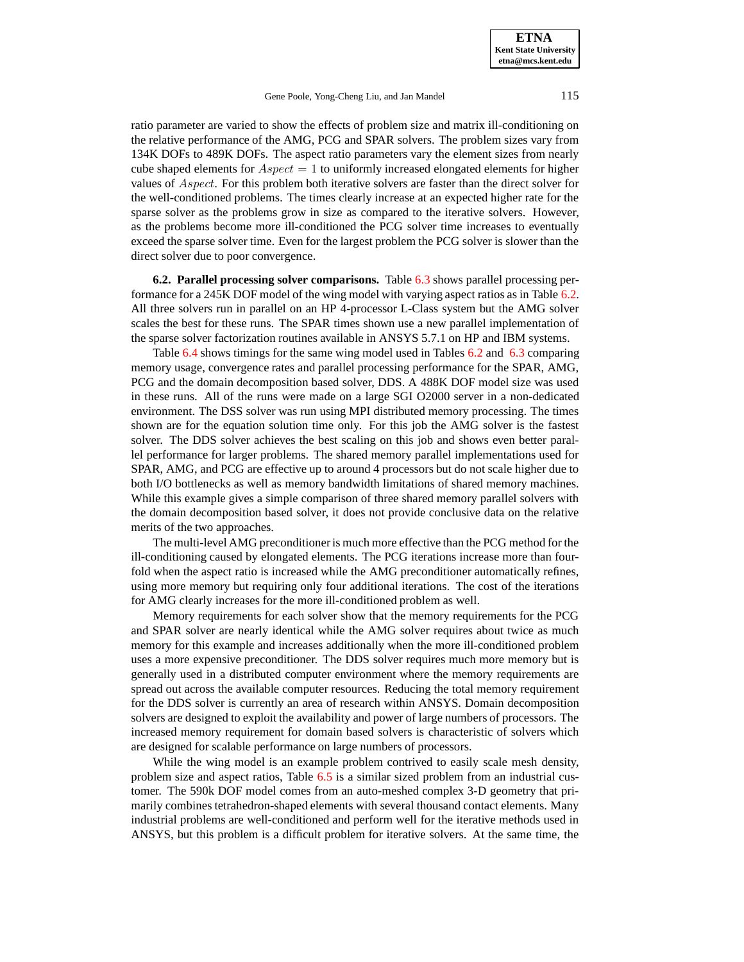ratio parameter are varied to show the effects of problem size and matrix ill-conditioning on the relative performance of the AMG, PCG and SPAR solvers. The problem sizes vary from 134K DOFs to 489K DOFs. The aspect ratio parameters vary the element sizes from nearly cube shaped elements for  $Aspect = 1$  to uniformly increased elongated elements for higher values of Aspect. For this problem both iterative solvers are faster than the direct solver for the well-conditioned problems. The times clearly increase at an expected higher rate for the sparse solver as the problems grow in size as compared to the iterative solvers. However, as the problems become more ill-conditioned the PCG solver time increases to eventually exceed the sparse solver time. Even for the largest problem the PCG solver is slower than the direct solver due to poor convergence.

**6.2. Parallel processing solver comparisons.** Table [6.3](#page-13-1) shows parallel processing performance for a 245K DOF model of the wing model with varying aspect ratios as in Table [6.2.](#page-13-0) All three solvers run in parallel on an HP 4-processor L-Class system but the AMG solver scales the best for these runs. The SPAR times shown use a new parallel implementation of the sparse solver factorization routines available in ANSYS 5.7.1 on HP and IBM systems.

Table [6.4](#page-14-0) shows timings for the same wing model used in Tables [6.2](#page-13-0) and [6.3](#page-13-1) comparing memory usage, convergence rates and parallel processing performance for the SPAR, AMG, PCG and the domain decomposition based solver, DDS. A 488K DOF model size was used in these runs. All of the runs were made on a large SGI O2000 server in a non-dedicated environment. The DSS solver was run using MPI distributed memory processing. The times shown are for the equation solution time only. For this job the AMG solver is the fastest solver. The DDS solver achieves the best scaling on this job and shows even better parallel performance for larger problems. The shared memory parallel implementations used for SPAR, AMG, and PCG are effective up to around 4 processors but do not scale higher due to both I/O bottlenecks as well as memory bandwidth limitations of shared memory machines. While this example gives a simple comparison of three shared memory parallel solvers with the domain decomposition based solver, it does not provide conclusive data on the relative merits of the two approaches.

The multi-level AMG preconditioneris much more effective than the PCG method for the ill-conditioning caused by elongated elements. The PCG iterations increase more than fourfold when the aspect ratio is increased while the AMG preconditioner automatically refines, using more memory but requiring only four additional iterations. The cost of the iterations for AMG clearly increases for the more ill-conditioned problem as well.

Memory requirements for each solver show that the memory requirements for the PCG and SPAR solver are nearly identical while the AMG solver requires about twice as much memory for this example and increases additionally when the more ill-conditioned problem uses a more expensive preconditioner. The DDS solver requires much more memory but is generally used in a distributed computer environment where the memory requirements are spread out across the available computer resources. Reducing the total memory requirement for the DDS solver is currently an area of research within ANSYS. Domain decomposition solvers are designed to exploit the availability and power of large numbers of processors. The increased memory requirement for domain based solvers is characteristic of solvers which are designed for scalable performance on large numbers of processors.

While the wing model is an example problem contrived to easily scale mesh density, problem size and aspect ratios, Table [6.5](#page-14-1) is a similar sized problem from an industrial customer. The 590k DOF model comes from an auto-meshed complex 3-D geometry that primarily combines tetrahedron-shaped elements with several thousand contact elements. Many industrial problems are well-conditioned and perform well for the iterative methods used in ANSYS, but this problem is a difficult problem for iterative solvers. At the same time, the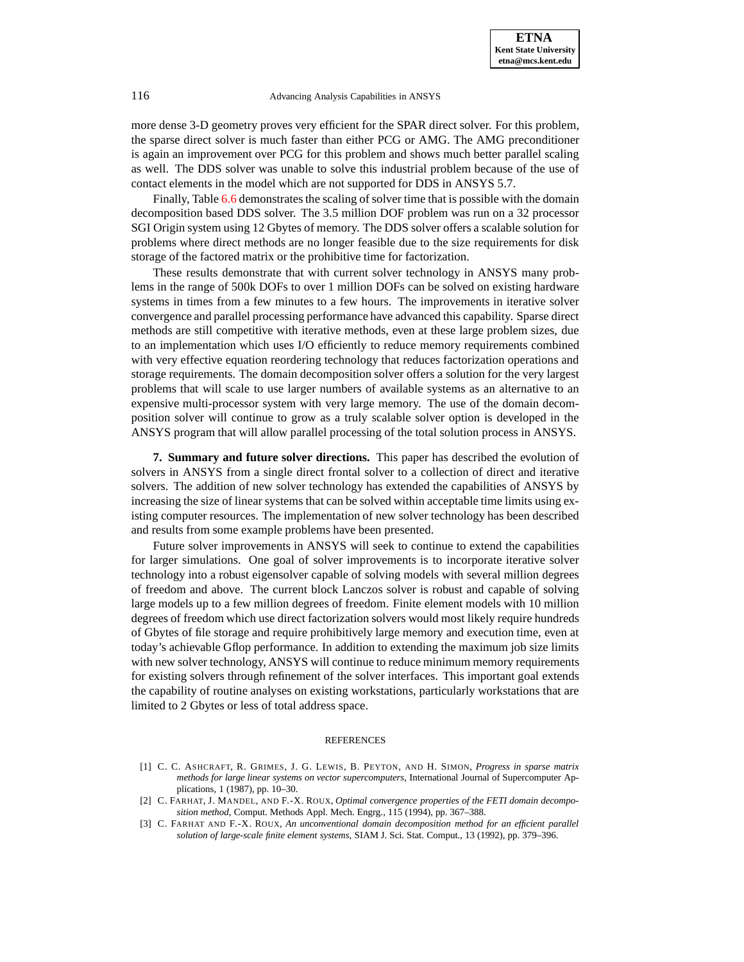more dense 3-D geometry proves very efficient for the SPAR direct solver. For this problem, the sparse direct solver is much faster than either PCG or AMG. The AMG preconditioner is again an improvement over PCG for this problem and shows much better parallel scaling as well. The DDS solver was unable to solve this industrial problem because of the use of contact elements in the model which are not supported for DDS in ANSYS 5.7.

Finally, Table [6.6](#page-15-0) demonstrates the scaling of solver time that is possible with the domain decomposition based DDS solver. The 3.5 million DOF problem was run on a 32 processor SGI Origin system using 12 Gbytes of memory. The DDS solver offers a scalable solution for problems where direct methods are no longer feasible due to the size requirements for disk storage of the factored matrix or the prohibitive time for factorization.

These results demonstrate that with current solver technology in ANSYS many problems in the range of 500k DOFs to over 1 million DOFs can be solved on existing hardware systems in times from a few minutes to a few hours. The improvements in iterative solver convergence and parallel processing performance have advanced this capability. Sparse direct methods are still competitive with iterative methods, even at these large problem sizes, due to an implementation which uses I/O efficiently to reduce memory requirements combined with very effective equation reordering technology that reduces factorization operations and storage requirements. The domain decomposition solver offers a solution for the very largest problems that will scale to use larger numbers of available systems as an alternative to an expensive multi-processor system with very large memory. The use of the domain decomposition solver will continue to grow as a truly scalable solver option is developed in the ANSYS program that will allow parallel processing of the total solution process in ANSYS.

**7. Summary and future solver directions.** This paper has described the evolution of solvers in ANSYS from a single direct frontal solver to a collection of direct and iterative solvers. The addition of new solver technology has extended the capabilities of ANSYS by increasing the size of linear systems that can be solved within acceptable time limits using existing computer resources. The implementation of new solver technology has been described and results from some example problems have been presented.

Future solver improvements in ANSYS will seek to continue to extend the capabilities for larger simulations. One goal of solver improvements is to incorporate iterative solver technology into a robust eigensolver capable of solving models with several million degrees of freedom and above. The current block Lanczos solver is robust and capable of solving large models up to a few million degrees of freedom. Finite element models with 10 million degrees of freedom which use direct factorization solvers would most likely require hundreds of Gbytes of file storage and require prohibitively large memory and execution time, even at today's achievable Gflop performance. In addition to extending the maximum job size limits with new solver technology, ANSYS will continue to reduce minimum memory requirements for existing solvers through refinement of the solver interfaces. This important goal extends the capability of routine analyses on existing workstations, particularly workstations that are limited to 2 Gbytes or less of total address space.

#### **REFERENCES**

- <span id="page-10-0"></span>[1] C. C. ASHCRAFT, R. GRIMES, J. G. LEWIS, B. PEYTON, AND H. SIMON, *Progress in sparse matrix methods for large linear systems on vector supercomputers*, International Journal of Supercomputer Applications, 1 (1987), pp. 10–30.
- <span id="page-10-1"></span>[2] C. FARHAT, J. MANDEL, AND F.-X. ROUX, *Optimal convergence properties of the FETI domain decomposition method*, Comput. Methods Appl. Mech. Engrg., 115 (1994), pp. 367–388.
- <span id="page-10-2"></span>[3] C. FARHAT AND F.-X. ROUX, *An unconventional domain decomposition method for an efficient parallel solution of large-scale finite element systems*, SIAM J. Sci. Stat. Comput., 13 (1992), pp. 379–396.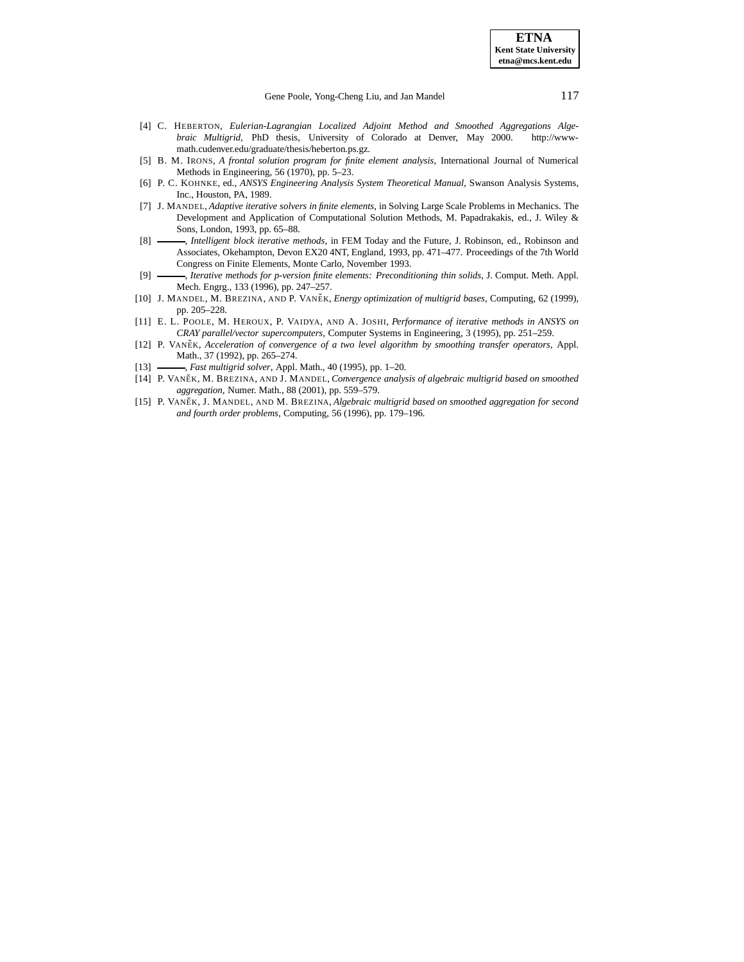- <span id="page-11-11"></span>[4] C. HEBERTON, *Eulerian-Lagrangian Localized Adjoint Method and Smoothed Aggregations Algebraic Multigrid*, PhD thesis, University of Colorado at Denver, May 2000. http://wwwmath.cudenver.edu/graduate/thesis/heberton.ps.gz.
- <span id="page-11-0"></span>[5] B. M. IRONS, *A frontal solution program for finite element analysis*, International Journal of Numerical Methods in Engineering, 56 (1970), pp. 5–23.
- <span id="page-11-1"></span>[6] P. C. KOHNKE, ed., *ANSYS Engineering Analysis System Theoretical Manual*, Swanson Analysis Systems, Inc., Houston, PA, 1989.
- <span id="page-11-10"></span>[7] J. MANDEL, *Adaptive iterative solvers in finite elements*, in Solving Large Scale Problems in Mechanics. The Development and Application of Computational Solution Methods, M. Papadrakakis, ed., J. Wiley & Sons, London, 1993, pp. 65–88.
- <span id="page-11-9"></span>[8] , *Intelligent block iterative methods*, in FEM Today and the Future, J. Robinson, ed., Robinson and Associates, Okehampton, Devon EX20 4NT, England, 1993, pp. 471–477. Proceedings of the 7th World Congress on Finite Elements, Monte Carlo, November 1993.
- <span id="page-11-8"></span>[9] , *Iterative methods for p-version finite elements: Preconditioning thin solids*, J. Comput. Meth. Appl. Mech. Engrg., 133 (1996), pp. 247–257.
- <span id="page-11-5"></span>[10] J. MANDEL, M. BREZINA, AND P. VANEˇ K, *Energy optimization of multigrid bases*, Computing, 62 (1999), pp. 205–228.
- <span id="page-11-2"></span>[11] E. L. POOLE, M. HEROUX, P. VAIDYA, AND A. JOSHI, *Performance of iterative methods in ANSYS on CRAY parallel/vector supercomputers*, Computer Systems in Engineering, 3 (1995), pp. 251–259.
- <span id="page-11-6"></span>[12] P. VANEˇ K, *Acceleration of convergence of a two level algorithm by smoothing transfer operators*, Appl. Math., 37 (1992), pp. 265–274.
- <span id="page-11-7"></span><span id="page-11-4"></span>[13] , *Fast multigrid solver*, Appl. Math., 40 (1995), pp. 1–20.
- [14] P. VANEˇ K, M. BREZINA, AND J. MANDEL, *Convergence analysis of algebraic multigrid based on smoothed aggregation*, Numer. Math., 88 (2001), pp. 559–579.
- <span id="page-11-3"></span>[15] P. VANEˇ K, J. MANDEL, AND M. BREZINA, *Algebraic multigrid based on smoothed aggregation for second and fourth order problems*, Computing, 56 (1996), pp. 179–196.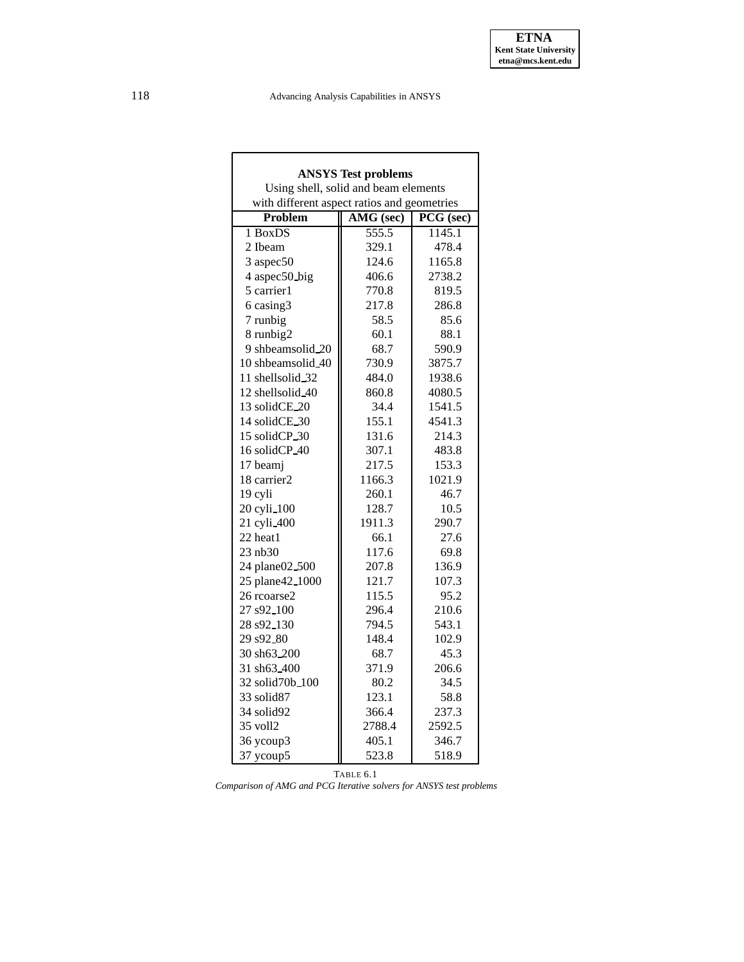| <b>ANSYS Test problems</b>                     |                                      |        |  |  |  |
|------------------------------------------------|--------------------------------------|--------|--|--|--|
|                                                | Using shell, solid and beam elements |        |  |  |  |
| with different aspect ratios and geometries    |                                      |        |  |  |  |
| AMG (sec)<br>$\overline{PCG}$ (sec)<br>Problem |                                      |        |  |  |  |
| 1 BoxDS                                        | $\overline{555.5}$                   | 1145.1 |  |  |  |
| 2 Ibeam                                        | 329.1                                | 478.4  |  |  |  |
| 3 aspec50                                      | 124.6                                | 1165.8 |  |  |  |
| 4 aspec50 big                                  | 406.6                                | 2738.2 |  |  |  |
| 5 carrier1                                     | 770.8                                | 819.5  |  |  |  |
| 6 casing3                                      | 217.8                                | 286.8  |  |  |  |
| 7 runbig                                       | 58.5                                 | 85.6   |  |  |  |
| 8 runbig2                                      | 60.1                                 | 88.1   |  |  |  |
| 9 shbeamsolid.20                               | 68.7                                 | 590.9  |  |  |  |
| 10 shbeamsolid_40                              | 730.9                                | 3875.7 |  |  |  |
| 11 shellsolid_32                               | 484.0                                | 1938.6 |  |  |  |
| 12 shellsolid 40                               | 860.8                                | 4080.5 |  |  |  |
| 13 solidCE_20                                  | 34.4                                 | 1541.5 |  |  |  |
| 14 solidCE_30                                  | 155.1                                | 4541.3 |  |  |  |
| 15 solidCP_30                                  | 131.6                                | 214.3  |  |  |  |
| 16 solidCP_40                                  | 307.1                                | 483.8  |  |  |  |
| 17 beamj                                       | 217.5                                | 153.3  |  |  |  |
| 18 carrier2                                    | 1166.3                               | 1021.9 |  |  |  |
| 19 cyli                                        | 260.1                                | 46.7   |  |  |  |
| 20 cyli_100                                    | 128.7                                | 10.5   |  |  |  |
| 21 cyli 400                                    | 1911.3                               | 290.7  |  |  |  |
| 22 heat1                                       | 66.1                                 | 27.6   |  |  |  |
| 23 nb30                                        | 117.6                                | 69.8   |  |  |  |
| 24 plane02.500                                 | 207.8                                | 136.9  |  |  |  |
| 25 plane42_1000                                | 121.7                                | 107.3  |  |  |  |
| 26 rcoarse2                                    | 115.5                                | 95.2   |  |  |  |
| 27 s92_100                                     | 296.4                                | 210.6  |  |  |  |
| 28 s92_130                                     | 794.5                                | 543.1  |  |  |  |
| 29 s92_80                                      | 148.4                                | 102.9  |  |  |  |
| 30 sh63_200                                    | 68.7                                 | 45.3   |  |  |  |
| 31 sh63_400                                    | 371.9                                | 206.6  |  |  |  |
| 32 solid 70b_100                               | 80.2                                 | 34.5   |  |  |  |
| 33 solid <sub>87</sub>                         | 123.1                                | 58.8   |  |  |  |
| 34 solid92                                     | 366.4                                | 237.3  |  |  |  |
| 35 voll2                                       | 2788.4                               | 2592.5 |  |  |  |
| 36 ycoup3                                      | 405.1                                | 346.7  |  |  |  |
| 37 ycoup5                                      | 523.8                                | 518.9  |  |  |  |

<span id="page-12-0"></span>TABLE 6.1 *Comparison of AMG and PCG Iterative solvers for ANSYS test problems*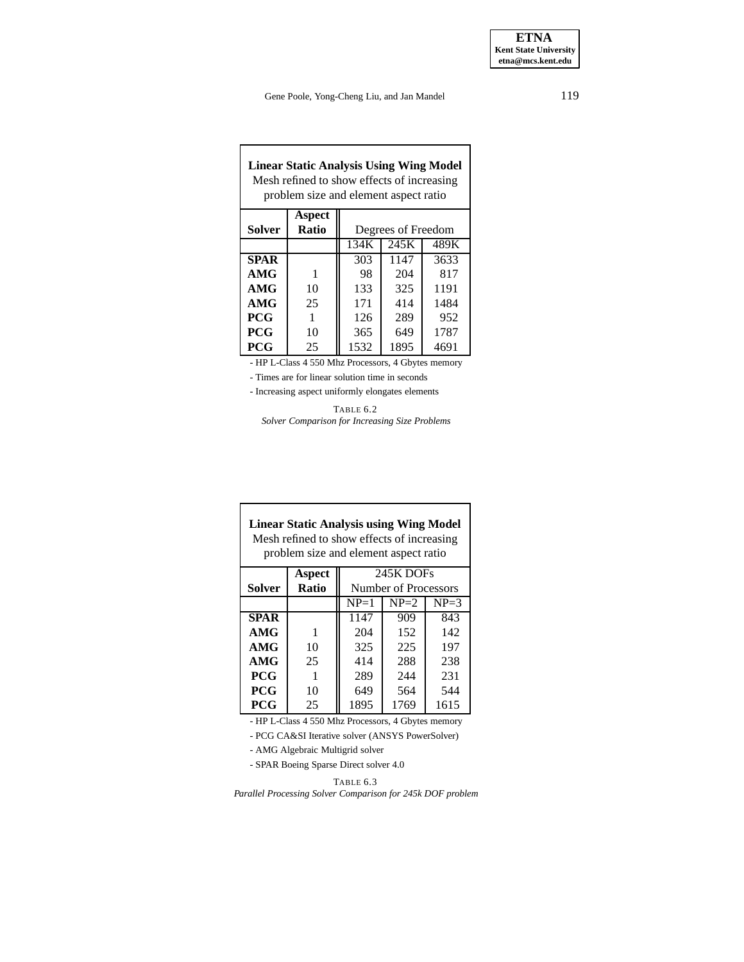# **Linear Static Analysis Using Wing Model** Mesh refined to show effects of increasing problem size and element aspect ratio

| Solver      | Aspect<br>Ratio | Degrees of Freedom |      |      |
|-------------|-----------------|--------------------|------|------|
|             |                 | 134K               | 245K | 489K |
| <b>SPAR</b> |                 | 303                | 1147 | 3633 |
| AMG         |                 | 98                 | 204  | 817  |
| AMG         | 10              | 133                | 325  | 1191 |
| AMG         | 25              | 171                | 414  | 1484 |
| <b>PCG</b>  |                 | 126                | 289  | 952  |
| <b>PCG</b>  | 10              | 365                | 649  | 1787 |
| <b>PCG</b>  | 25              | 1532               | 1895 | 4691 |

- HP L-Class 4 550 Mhz Processors, 4 Gbytes memory

- Times are for linear solution time in seconds

<span id="page-13-0"></span>- Increasing aspect uniformly elongates elements

TABLE 6.2 *Solver Comparison for Increasing Size Problems*

|             | <b>Linear Static Analysis using Wing Model</b><br>Mesh refined to show effects of increasing<br>problem size and element aspect ratio |                      |          |          |  |
|-------------|---------------------------------------------------------------------------------------------------------------------------------------|----------------------|----------|----------|--|
|             | Aspect                                                                                                                                | 245K DOFs            |          |          |  |
| Solver      | Ratio                                                                                                                                 | Number of Processors |          |          |  |
|             |                                                                                                                                       | $NP=1$               | $NP = 2$ | $NP = 3$ |  |
| <b>SPAR</b> |                                                                                                                                       | 1147                 | 909      | 843      |  |
| AMG         | 1                                                                                                                                     | 204                  | 152      | 142      |  |
| AMG         | 10                                                                                                                                    | 325                  | 225      | 197      |  |
| AMG         | 25                                                                                                                                    | 414                  | 288      | 238      |  |
| <b>PCG</b>  |                                                                                                                                       | 289                  | 244      | 231      |  |
| <b>PCG</b>  | 10                                                                                                                                    | 649                  | 564      | 544      |  |
| <b>PCG</b>  | 25                                                                                                                                    | 1895                 | 1769     | 1615     |  |

- HP L-Class 4 550 Mhz Processors, 4 Gbytes memory

- PCG CA&SI Iterative solver (ANSYS PowerSolver)

- AMG Algebraic Multigrid solver

- SPAR Boeing Sparse Direct solver 4.0

TABLE 6.3

<span id="page-13-1"></span>*Parallel Processing Solver Comparison for 245k DOF problem*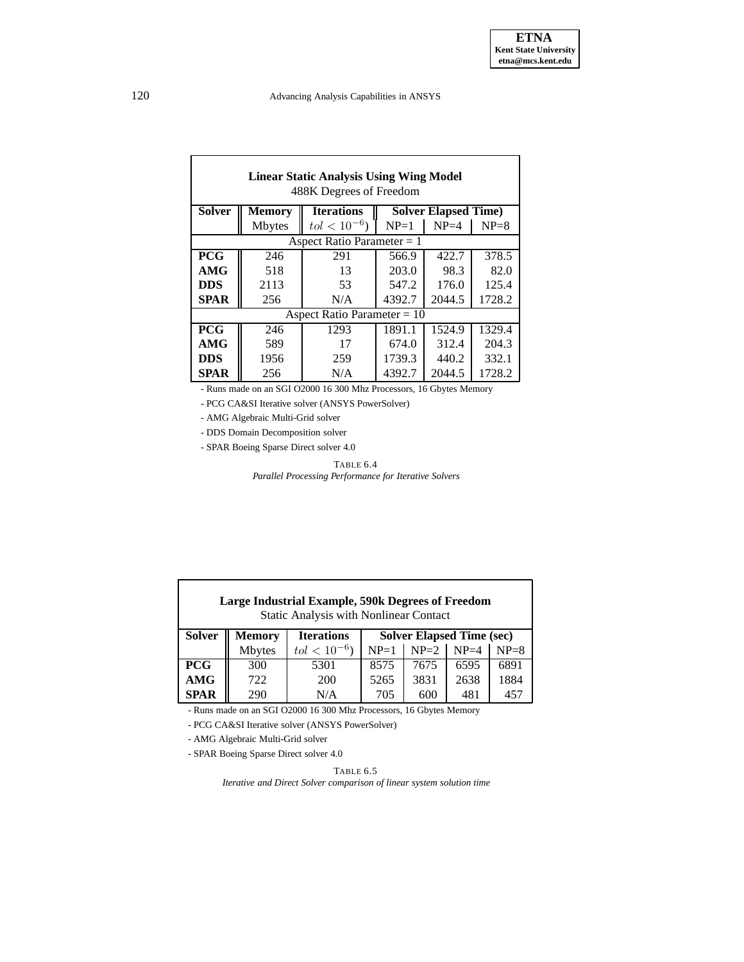| <b>Linear Static Analysis Using Wing Model</b><br>488K Degrees of Freedom |                               |                              |                              |          |          |  |
|---------------------------------------------------------------------------|-------------------------------|------------------------------|------------------------------|----------|----------|--|
| <b>Solver</b>                                                             | <b>Memory</b>                 | <b>Iterations</b>            | <b>Solver Elapsed Time</b> ) |          |          |  |
|                                                                           | <b>Mbytes</b>                 | $tol < 10^{-6}$              | $NP=1$                       | $NP = 4$ | $NP = 8$ |  |
|                                                                           |                               | Aspect Ratio Parameter $= 1$ |                              |          |          |  |
| <b>PCG</b>                                                                | 246                           | 291                          | 566.9                        | 422.7    | 378.5    |  |
| AMG                                                                       | 518                           | 13                           | 203.0                        | 98.3     | 82.0     |  |
| <b>DDS</b>                                                                | 2113                          | 53                           | 547.2                        | 176.0    | 125.4    |  |
| <b>SPAR</b>                                                               | 256                           | N/A                          | 4392.7                       | 2044.5   | 1728.2   |  |
|                                                                           | Aspect Ratio Parameter = $10$ |                              |                              |          |          |  |
| <b>PCG</b>                                                                | 246                           | 1293                         | 1891.1                       | 1524.9   | 1329.4   |  |
| AMG                                                                       | 589                           | 17                           | 674.0                        | 312.4    | 204.3    |  |
| <b>DDS</b>                                                                | 1956                          | 259                          | 1739.3                       | 440.2    | 332.1    |  |
| <b>SPAR</b>                                                               | 256                           | N/A                          | 4392.7                       | 2044.5   | 1728.2   |  |

- Runs made on an SGI O2000 16 300 Mhz Processors, 16 Gbytes Memory

- PCG CA&SI Iterative solver (ANSYS PowerSolver)

- AMG Algebraic Multi-Grid solver

- DDS Domain Decomposition solver

<span id="page-14-0"></span>- SPAR Boeing Sparse Direct solver 4.0

TABLE 6.4 *Parallel Processing Performance for Iterative Solvers*

| <b>Large Industrial Example, 590k Degrees of Freedom</b><br><b>Static Analysis with Nonlinear Contact</b> |               |                   |                                  |               |      |        |
|-----------------------------------------------------------------------------------------------------------|---------------|-------------------|----------------------------------|---------------|------|--------|
| <b>Solver</b>                                                                                             | <b>Memory</b> | <b>Iterations</b> | <b>Solver Elapsed Time (sec)</b> |               |      |        |
|                                                                                                           | <b>Mbytes</b> | $tol < 10^{-6}$   | $NP=1$                           | $NP=2$ $NP=4$ |      | $NP=8$ |
| <b>PCG</b>                                                                                                | 300           | 5301              | 8575                             | 7675          | 6595 | 6891   |
| <b>AMG</b>                                                                                                | 722           | 200               | 5265                             | 3831          | 2638 | 1884   |
| <b>SPAR</b>                                                                                               | 290           | N/A               | 705                              | 600           | 481  | 457    |

- Runs made on an SGI O2000 16 300 Mhz Processors, 16 Gbytes Memory

- PCG CA&SI Iterative solver (ANSYS PowerSolver)

- AMG Algebraic Multi-Grid solver

<span id="page-14-1"></span>- SPAR Boeing Sparse Direct solver 4.0

TABLE 6.5

*Iterative and Direct Solver comparison of linear system solution time*